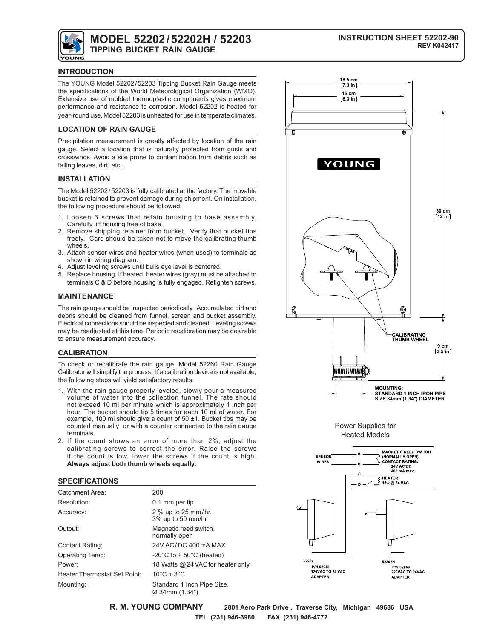

# **MODEL 52202/52202H / 52203 TIPPING BUCKET RAIN GAUGE**

### **INTRODUCTION**

The YOUNG Model 52202/52203 Tipping Bucket Rain Gauge meets the specifications of the World Meteorological Organization (WMO). Extensive use of molded thermoplastic components gives maximum performance and resistance to corrosion. Model 52202 is heated for year-round use, Model 52203 is unheated for use in temperate climates.

### **LOCATION OF RAIN GAUGE**

Precipitation measurement is greatly affected by location of the rain gauge. Select a location that is naturally protected from gusts and crosswinds. Avoid a site prone to contamination from debris such as falling leaves, dirt, etc...

## **INSTALLATION**

The Model 52202/52203 is fully calibrated at the factory. The movable bucket is retained to prevent damage during shipment. On installation, the following procedure should be followed.

- 1. Loosen 3 screws that retain housing to base assembly. Carefully lift housing free of base.
- 2. Remove shipping retainer from bucket. Verify that bucket tips freely. Care should be taken not to move the calibrating thumb wheels.
- 3. Attach sensor wires and heater wires (when used) to terminals as shown in wiring diagram.
- 4. Adjust leveling screws until bulls eye level is centered.
- 5. Replace housing. If heated, heater wires (gray) must be attached to terminals C & D before housing is fully engaged. Retighten screws.

## **MAINTENANCE**

The rain gauge should be inspected periodically. Accumulated dirt and debris should be cleaned from funnel, screen and bucket assembly. Electrical connections should be inspected and cleaned. Leveling screws may be readjusted at this time. Periodic recalibration may be desirable to ensure measurement accuracy.

#### **CALIBRATION**

To check or recalibrate the rain gauge, Model 52260 Rain Gauge Calibrator will simplify the process. If a calibration device is not available, the following steps will yield satisfactory results:

- 1. With the rain gauge properly leveled, slowly pour a measured volume of water into the collection funnel. The rate should not exceed 10 ml per minute which is approximately 1 inch per hour. The bucket should tip 5 times for each 10 ml of water. For example, 100 ml should give a count of 50 ±1. Bucket tips may be counted manually or with a counter connected to the rain gauge terminals.
- 2. If the count shows an error of more than 2%, adjust the calibrating screws to correct the error. Raise the screws if the count is low, lower the screws if the count is high. **Always adjust both thumb wheels equally**.

#### **SPECIFICATIONS**

| Catchment Area:              | 200                                          |
|------------------------------|----------------------------------------------|
| Resolution:                  | 0.1 mm per tip                               |
| Accuracy:                    | 2 % up to 25 mm/hr,<br>3% up to 50 mm/hr     |
| Output:                      | Magnetic reed switch,<br>normally open       |
| Contact Rating:              | 24V AC/DC 400 mA MAX                         |
| Operating Temp:              | -20 $\degree$ C to + 50 $\degree$ C (heated) |
| Power:                       | 18 Watts @ 24 VAC for heater only            |
| Heater Thermostat Set Point: | $10^{\circ}$ C ± 3 $^{\circ}$ C              |
| Mounting:                    | Standard 1 Inch Pipe Size,<br>Ø 34mm (1.34") |







**R. M. YOUNG COMPANY 2801 Aero Park Drive , Traverse City, Michigan 49686 USA TEL (231) 946-3980 FAX (231) 946-4772**